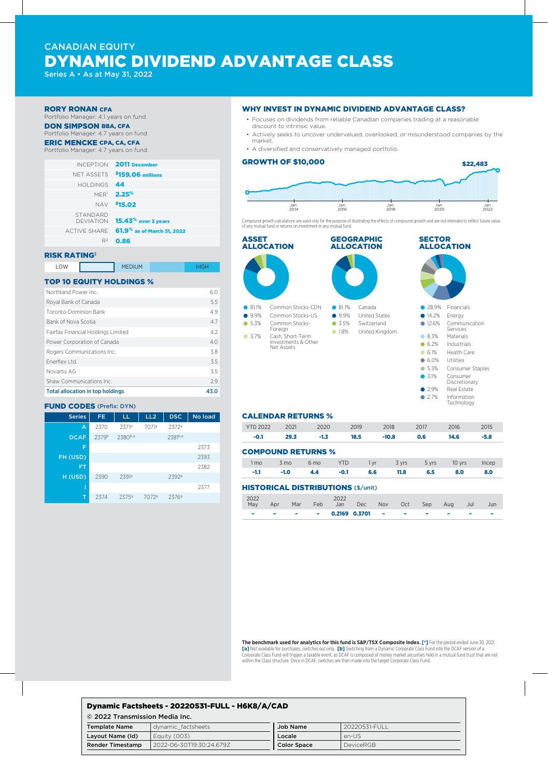# CANADIAN EQUITY DYNAMIC DIVIDEND ADVANTAGE CLASS

Series A • As at May 31, 2022

#### RORY RONAN CFA

Portfolio Manager: 4.1 years on fund DON SIMPSON BBA, CFA

# Portfolio Manager: 4.7 years on fund

# ERIC MENCKE CPA, CA, CFA

# Portfolio Manager: 4.7 years on fund

| INCEPTION 2011 December                             |                 |
|-----------------------------------------------------|-----------------|
| NET ASSETS \$159.06 millions                        |                 |
|                                                     | HOLDINGS 44     |
| <b>MER<sup>*</sup> 2.25<sup>%</sup></b>             |                 |
| NAV \$15.02                                         |                 |
| DEVIATION 15.43 <sup>%</sup> over 3 years           | <b>STANDARD</b> |
| ACTIVE SHARE 61.9 <sup>%</sup> as of March 31, 2022 |                 |
| $R^2$ 0.86                                          |                 |
|                                                     |                 |

### RISK RATING‡

| LOW | <b>MEDIUM</b> |  |
|-----|---------------|--|
|     |               |  |

#### TOP 10 EQUITY HOLDINGS %

| <b>Total allocation in top holdings</b> | 43.0 |
|-----------------------------------------|------|
| Shaw Communications Inc.                | 2.9  |
| Novartis AG                             | 3.5  |
| Fnerflex I td.                          | 3.5  |
| Rogers Communications Inc.              | 3.8  |
| Power Corporation of Canada             | 4.0  |
| Fairfax Financial Holdings Limited      | 4.2  |
| Bank of Nova Scotia                     | 4.7  |
| Toronto-Dominion Bank                   | 4.9  |
| Royal Bank of Canada                    | 5.5  |
| Northland Power Inc.                    | 6.0  |
|                                         |      |

#### FUND CODES (Prefix: DYN)

| <b>Series</b> | FE.   | LL                | LL <sub>2</sub> | <b>DSC</b>        | No load |
|---------------|-------|-------------------|-----------------|-------------------|---------|
| A             | 2370  | 2371ª             | 7071ª           | 2372a             |         |
| <b>DCAF</b>   | 2379b | 2380b,a           |                 | 2381b,a           |         |
| F             |       |                   |                 |                   | 2373    |
| FH (USD)      |       |                   |                 |                   | 2393    |
| FΤ            |       |                   |                 |                   | 2382    |
| H(USD)        | 2390  | 2391ª             |                 | 2392ª             |         |
|               |       |                   |                 |                   | 2377    |
| т             | 2374  | 2375 <sup>a</sup> | 7072ª           | 2376 <sup>a</sup> |         |

#### WHY INVEST IN DYNAMIC DIVIDEND ADVANTAGE CLASS?

- Focuses on dividends from reliable Canadian companies trading at a reasonable discount to intrinsic value.
- Actively seeks to uncover undervalued, overlooked, or misunderstood companies by the market.
- A diversified and conservatively managed portfolio.

### GROWTH OF \$10,000



Compound growth calculations are used only for the purpose of illustrating the effects of compound growth and are not intended to reflect future value of any mutual fund or returns on investment in any mutual fund.



# CALENDAR RETURNS %

| <b>YTD 2022</b> | 2021 | $\sim$ 2020 | 2019 | 2018    | - 2017 | 2016 | 2015 |
|-----------------|------|-------------|------|---------|--------|------|------|
|                 | 29.3 |             | 18.5 | $-10.8$ | 0.6    | 14.6 |      |

#### COMPOUND RETURNS %

|  |  | 1 mo 3 mo 6 mo YTD 1 yr 3 yrs 5 yrs 10 yrs Incep |  |  |
|--|--|--------------------------------------------------|--|--|
|  |  | $-1.1$ $-1.0$ 4.4 $-0.1$ 6.6 11.8 6.5 8.0 8.0    |  |  |

#### HISTORICAL DISTRIBUTIONS (\$/unit)

| 2022<br>May | Apr    | Mar | Feb | 2022                     | Jan Dec Nov Oct |  | Sep Aug |   | - Jul | Jun |
|-------------|--------|-----|-----|--------------------------|-----------------|--|---------|---|-------|-----|
| -           | $\sim$ |     |     | $ -$ 0.2169 0.3701 $  -$ |                 |  |         | - |       |     |

**The benchmark used for analytics for this fund is S&P/TSX Composite Index. [†]** For the period ended June 30, 2021. **[a]** Not available for purchases, switches out only. **[b]** Switching from a Dynamic Corporate Class Fund into the DCAF version of a Corporate Class Fund will trigger a taxable event, as DCAF is composed of money market securities held in a mutual fund trust that are not within the Class structure. Once in DCAF, switches are then made into the target Corporate Class Fund.